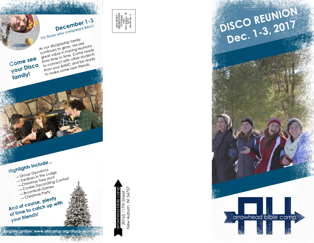





As our discipleship family continues to grow, we see great value in having reunions from time to time. Come ready to connect with other students from your BASIC and be ready to make some new friends.

December 1-3 For those who completed BASIC